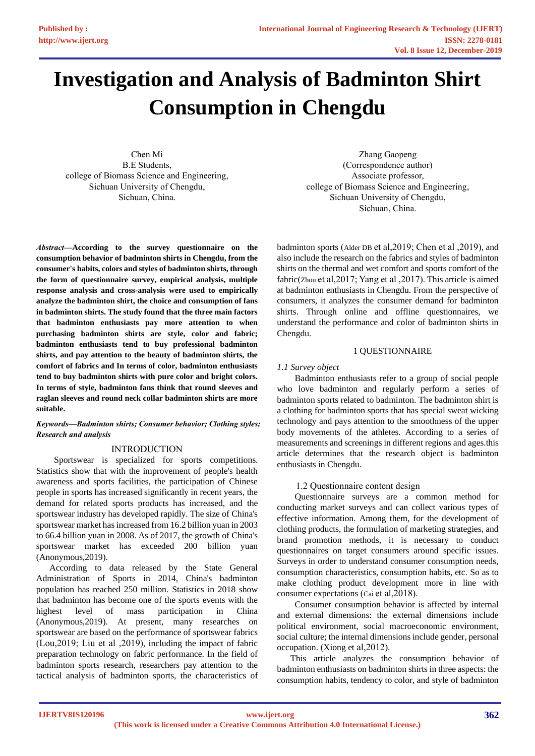# **Investigation and Analysis of Badminton Shirt Consumption in Chengdu**

Chen Mi B.E Students, college of Biomass Science and Engineering, Sichuan University of Chengdu, Sichuan, China.

*Abstract***—According to the survey questionnaire on the consumption behavior of badminton shirts in Chengdu, from the consumer's habits, colors and styles of badminton shirts, through the form of questionnaire survey, empirical analysis, multiple response analysis and cross-analysis were used to empirically analyze the badminton shirt, the choice and consumption of fans in badminton shirts. The study found that the three main factors that badminton enthusiasts pay more attention to when purchasing badminton shirts are style, color and fabric; badminton enthusiasts tend to buy professional badminton shirts, and pay attention to the beauty of badminton shirts, the comfort of fabrics and In terms of color, badminton enthusiasts tend to buy badminton shirts with pure color and bright colors. In terms of style, badminton fans think that round sleeves and raglan sleeves and round neck collar badminton shirts are more suitable.**

# *Keywords—Badminton shirts; Consumer behavior; Clothing styles; Research and analysis*

# **INTRODUCTION**

Sportswear is specialized for sports competitions. Statistics show that with the improvement of people's health awareness and sports facilities, the participation of Chinese people in sports has increased significantly in recent years, the demand for related sports products has increased, and the sportswear industry has developed rapidly. The size of China's sportswear market has increased from 16.2 billion yuan in 2003 to 66.4 billion yuan in 2008. As of 2017, the growth of China's sportswear market has exceeded 200 billion yuan (Anonymous,2019).

 According to data released by the State General Administration of Sports in 2014, China's badminton population has reached 250 million. Statistics in 2018 show that badminton has become one of the sports events with the highest level of mass participation in China (Anonymous,2019). At present, many researches on sportswear are based on the performance of sportswear fabrics (Lou,2019; Liu et al ,2019), including the impact of fabric preparation technology on fabric performance. In the field of badminton sports research, researchers pay attention to the tactical analysis of badminton sports, the characteristics of

Zhang Gaopeng (Correspondence author) Associate professor, college of Biomass Science and Engineering, Sichuan University of Chengdu, Sichuan, China.

badminton sports (Alder DB et al,2019; Chen et al ,2019), and also include the research on the fabrics and styles of badminton shirts on the thermal and wet comfort and sports comfort of the fabric(Zhou et al,2017; Yang et al ,2017). This article is aimed at badminton enthusiasts in Chengdu. From the perspective of consumers, it analyzes the consumer demand for badminton shirts. Through online and offline questionnaires, we understand the performance and color of badminton shirts in Chengdu.

# 1 QUESTIONNAIRE

# *1.1 Survey object*

Badminton enthusiasts refer to a group of social people who love badminton and regularly perform a series of badminton sports related to badminton. The badminton shirt is a clothing for badminton sports that has special sweat wicking technology and pays attention to the smoothness of the upper body movements of the athletes. According to a series of measurements and screenings in different regions and ages.this article determines that the research object is badminton enthusiasts in Chengdu.

# 1.2 Questionnaire content design

Questionnaire surveys are a common method for conducting market surveys and can collect various types of effective information. Among them, for the development of clothing products, the formulation of marketing strategies, and brand promotion methods, it is necessary to conduct questionnaires on target consumers around specific issues. Surveys in order to understand consumer consumption needs, consumption characteristics, consumption habits, etc. So as to make clothing product development more in line with consumer expectations (Cai et al,2018).

Consumer consumption behavior is affected by internal and external dimensions: the external dimensions include political environment, social macroeconomic environment, social culture; the internal dimensions include gender, personal occupation. (Xiong et al,2012).

This article analyzes the consumption behavior of badminton enthusiasts on badminton shirts in three aspects: the consumption habits, tendency to color, and style of badminton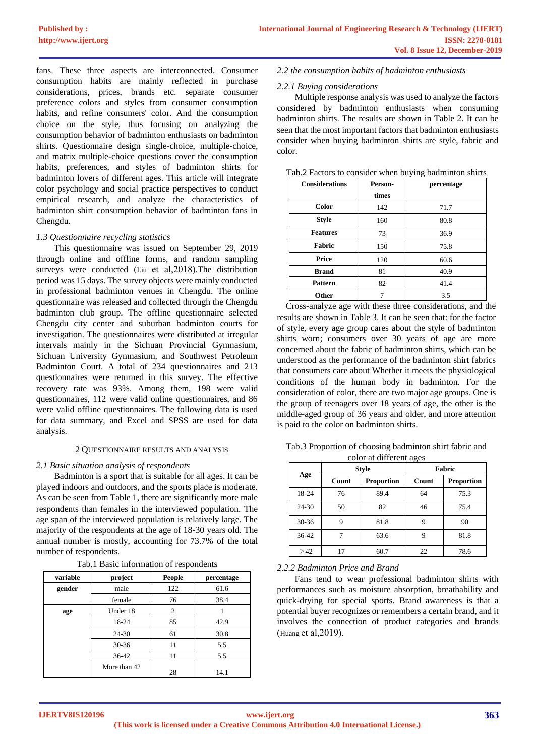fans. These three aspects are interconnected. Consumer consumption habits are mainly reflected in purchase considerations, prices, brands etc. separate consumer preference colors and styles from consumer consumption habits, and refine consumers' color. And the consumption choice on the style, thus focusing on analyzing the consumption behavior of badminton enthusiasts on badminton shirts. Questionnaire design single-choice, multiple-choice, and matrix multiple-choice questions cover the consumption habits, preferences, and styles of badminton shirts for badminton lovers of different ages. This article will integrate color psychology and social practice perspectives to conduct empirical research, and analyze the characteristics of badminton shirt consumption behavior of badminton fans in Chengdu.

# *1.3 Questionnaire recycling statistics*

This questionnaire was issued on September 29, 2019 through online and offline forms, and random sampling surveys were conducted (Liu et al,2018).The distribution period was 15 days. The survey objects were mainly conducted in professional badminton venues in Chengdu. The online questionnaire was released and collected through the Chengdu badminton club group. The offline questionnaire selected Chengdu city center and suburban badminton courts for investigation. The questionnaires were distributed at irregular intervals mainly in the Sichuan Provincial Gymnasium, Sichuan University Gymnasium, and Southwest Petroleum Badminton Court. A total of 234 questionnaires and 213 questionnaires were returned in this survey. The effective recovery rate was 93%. Among them, 198 were valid questionnaires, 112 were valid online questionnaires, and 86 were valid offline questionnaires. The following data is used for data summary, and Excel and SPSS are used for data analysis.

## 2 QUESTIONNAIRE RESULTS AND ANALYSIS

## *2.1 Basic situation analysis of respondents*

Badminton is a sport that is suitable for all ages. It can be played indoors and outdoors, and the sports place is moderate. As can be seen from Table 1, there are significantly more male respondents than females in the interviewed population. The age span of the interviewed population is relatively large. The majority of the respondents at the age of 18-30 years old. The annual number is mostly, accounting for 73.7% of the total number of respondents.

| variable | project      | <b>People</b>  | percentage |
|----------|--------------|----------------|------------|
| gender   | male         | 122            | 61.6       |
|          | female       | 76             | 38.4       |
| age      | Under 18     | $\overline{2}$ |            |
|          | 18-24        | 85             | 42.9       |
|          | 24-30        | 61             | 30.8       |
|          | $30 - 36$    | 11             | 5.5        |
|          | 36-42        | 11             | 5.5        |
|          | More than 42 | 28             | 14.1       |

Tab.1 Basic information of respondents

#### *2.2 the consumption habits of badminton enthusiasts*

#### *2.2.1 Buying considerations*

Multiple response analysis was used to analyze the factors considered by badminton enthusiasts when consuming badminton shirts. The results are shown in Table 2. It can be seen that the most important factors that badminton enthusiasts consider when buying badminton shirts are style, fabric and color.

Tab.2 Factors to consider when buying badminton shirts

| <b>Considerations</b> | Person- | percentage |
|-----------------------|---------|------------|
|                       | times   |            |
| Color                 | 142     | 71.7       |
| <b>Style</b>          | 160     | 80.8       |
| <b>Features</b>       | 73      | 36.9       |
| Fabric                | 150     | 75.8       |
| Price                 | 120     | 60.6       |
| <b>Brand</b>          | 81      | 40.9       |
| <b>Pattern</b>        | 82      | 41.4       |
| Other                 |         | 3.5        |

Cross-analyze age with these three considerations, and the results are shown in Table 3. It can be seen that: for the factor of style, every age group cares about the style of badminton shirts worn; consumers over 30 years of age are more concerned about the fabric of badminton shirts, which can be understood as the performance of the badminton shirt fabrics that consumers care about Whether it meets the physiological conditions of the human body in badminton. For the consideration of color, there are two major age groups. One is the group of teenagers over 18 years of age, the other is the middle-aged group of 36 years and older, and more attention is paid to the color on badminton shirts.

| Tab.3 Proportion of choosing badminton shirt fabric and |
|---------------------------------------------------------|
| color at different ages                                 |

| --0       |              |                   |        |                   |  |
|-----------|--------------|-------------------|--------|-------------------|--|
| Age       | <b>Style</b> |                   | Fabric |                   |  |
|           | Count        | <b>Proportion</b> | Count  | <b>Proportion</b> |  |
| 18-24     | 76           | 89.4              | 64     | 75.3              |  |
| $24 - 30$ | 50           | 82                | 46     | 75.4              |  |
| 30-36     | 9            | 81.8              | q      | 90                |  |
| $36-42$   |              | 63.6              | Q      | 81.8              |  |
| >42       | 17           | 60.7              | 22     | 78.6              |  |

## *2.2.2 Badminton Price and Brand*

Fans tend to wear professional badminton shirts with performances such as moisture absorption, breathability and quick-drying for special sports. Brand awareness is that a potential buyer recognizes or remembers a certain brand, and it involves the connection of product categories and brands (Huang et al,2019).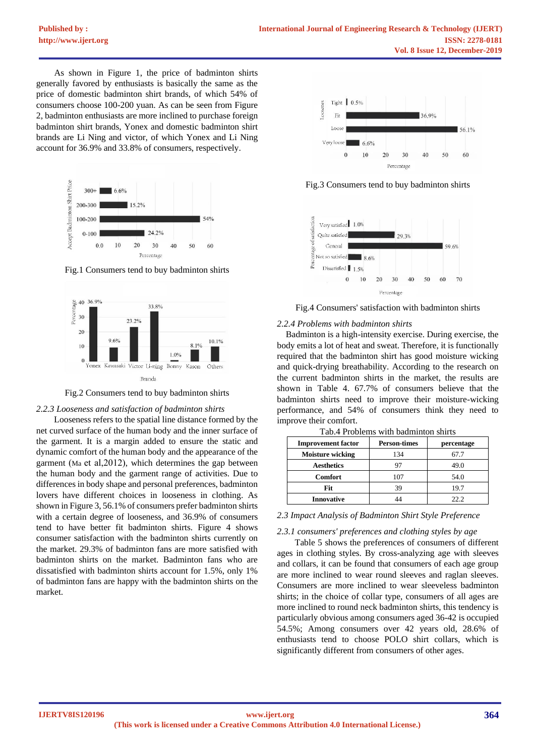As shown in Figure 1, the price of badminton shirts generally favored by enthusiasts is basically the same as the price of domestic badminton shirt brands, of which 54% of consumers choose 100-200 yuan. As can be seen from Figure 2, badminton enthusiasts are more inclined to purchase foreign badminton shirt brands, Yonex and domestic badminton shirt brands are Li Ning and victor, of which Yonex and Li Ning account for 36.9% and 33.8% of consumers, respectively.



Fig.1 Consumers tend to buy badminton shirts



Fig.2 Consumers tend to buy badminton shirts

## *2.2.3 Looseness and satisfaction of badminton shirts*

Looseness refers to the spatial line distance formed by the net curved surface of the human body and the inner surface of the garment. It is a margin added to ensure the static and dynamic comfort of the human body and the appearance of the garment (Ma et al,2012), which determines the gap between the human body and the garment range of activities. Due to differences in body shape and personal preferences, badminton lovers have different choices in looseness in clothing. As shown in Figure 3, 56.1% of consumers prefer badminton shirts with a certain degree of looseness, and 36.9% of consumers tend to have better fit badminton shirts. Figure 4 shows consumer satisfaction with the badminton shirts currently on the market. 29.3% of badminton fans are more satisfied with badminton shirts on the market. Badminton fans who are dissatisfied with badminton shirts account for 1.5%, only 1% of badminton fans are happy with the badminton shirts on the market.



Fig.3 Consumers tend to buy badminton shirts



Fig.4 Consumers' satisfaction with badminton shirts

# *2.2.4 Problems with badminton shirts*

Badminton is a high-intensity exercise. During exercise, the body emits a lot of heat and sweat. Therefore, it is functionally required that the badminton shirt has good moisture wicking and quick-drying breathability. According to the research on the current badminton shirts in the market, the results are shown in Table 4. 67.7% of consumers believe that the badminton shirts need to improve their moisture-wicking performance, and 54% of consumers think they need to improve their comfort.

| <b>Improvement factor</b> | <b>Person-times</b> | percentage |
|---------------------------|---------------------|------------|
| <b>Moisture wicking</b>   | 134                 | 67.7       |
| <b>Aesthetics</b>         | 97                  | 49.0       |
| <b>Comfort</b>            | 107                 | 54.0       |
| Fit                       | 39                  | 19.7       |
| <b>Innovative</b>         |                     | 22.2       |

Tab.4 Problems with badminton shirts

*2.3 Impact Analysis of Badminton Shirt Style Preference*

## *2.3.1 consumers' preferences and clothing styles by age*

Table 5 shows the preferences of consumers of different ages in clothing styles. By cross-analyzing age with sleeves and collars, it can be found that consumers of each age group are more inclined to wear round sleeves and raglan sleeves. Consumers are more inclined to wear sleeveless badminton shirts; in the choice of collar type, consumers of all ages are more inclined to round neck badminton shirts, this tendency is particularly obvious among consumers aged 36-42 is occupied 54.5%; Among consumers over 42 years old, 28.6% of enthusiasts tend to choose POLO shirt collars, which is significantly different from consumers of other ages.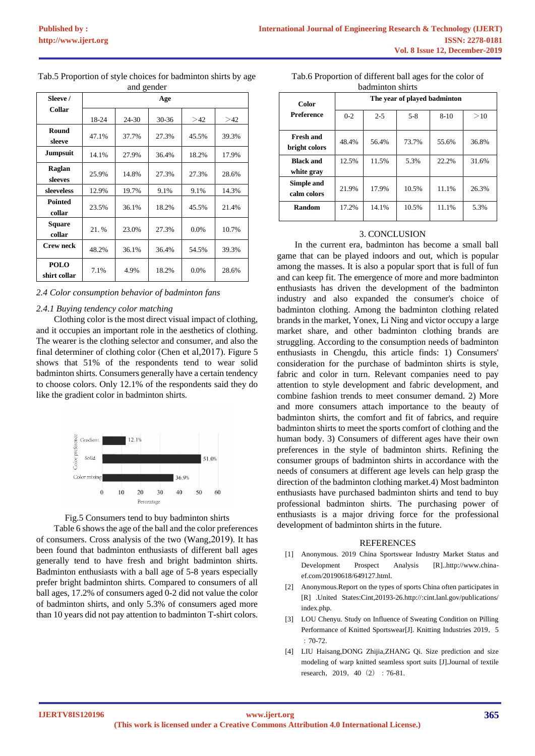| Sleeve /                    | Age   |       |           |       |       |
|-----------------------------|-------|-------|-----------|-------|-------|
| Collar                      |       |       |           |       |       |
|                             | 18-24 | 24-30 | $30 - 36$ | >42   | >42   |
| Round<br>sleeve             | 47.1% | 37.7% | 27.3%     | 45.5% | 39.3% |
| <b>Jumpsuit</b>             | 14.1% | 27.9% | 36.4%     | 18.2% | 17.9% |
| Raglan<br>sleeves           | 25.9% | 14.8% | 27.3%     | 27.3% | 28.6% |
| sleeveless                  | 12.9% | 19.7% | 9.1%      | 9.1%  | 14.3% |
| Pointed<br>collar           | 23.5% | 36.1% | 18.2%     | 45.5% | 21.4% |
| <b>Square</b><br>collar     | 21. % | 23.0% | 27.3%     | 0.0%  | 10.7% |
| <b>Crew neck</b>            | 48.2% | 36.1% | 36.4%     | 54.5% | 39.3% |
| <b>POLO</b><br>shirt collar | 7.1%  | 4.9%  | 18.2%     | 0.0%  | 28.6% |

Tab.5 Proportion of style choices for badminton shirts by age and gender

*2.4 Color consumption behavior of badminton fans*

# *2.4.1 Buying tendency color matching*

Clothing color is the most direct visual impact of clothing, and it occupies an important role in the aesthetics of clothing. The wearer is the clothing selector and consumer, and also the final determiner of clothing color (Chen et al,2017). Figure 5 shows that 51% of the respondents tend to wear solid badminton shirts. Consumers generally have a certain tendency to choose colors. Only 12.1% of the respondents said they do like the gradient color in badminton shirts.





Table 6 shows the age of the ball and the color preferences of consumers. Cross analysis of the two (Wang,2019). It has been found that badminton enthusiasts of different ball ages generally tend to have fresh and bright badminton shirts. Badminton enthusiasts with a ball age of 5-8 years especially prefer bright badminton shirts. Compared to consumers of all ball ages, 17.2% of consumers aged 0-2 did not value the color of badminton shirts, and only 5.3% of consumers aged more than 10 years did not pay attention to badminton T-shirt colors.

Tab.6 Proportion of different ball ages for the color of badminton shirts

| Color<br>Preference               | The year of played badminton |         |         |        |       |
|-----------------------------------|------------------------------|---------|---------|--------|-------|
|                                   | $0 - 2$                      | $2 - 5$ | $5 - 8$ | $8-10$ | >10   |
| <b>Fresh and</b><br>bright colors | 48.4%                        | 56.4%   | 73.7%   | 55.6%  | 36.8% |
| <b>Black and</b><br>white gray    | 12.5%                        | 11.5%   | 5.3%    | 22.2%  | 31.6% |
| Simple and<br>calm colors         | 21.9%                        | 17.9%   | 10.5%   | 11.1%  | 26.3% |
| Random                            | 17.2%                        | 14.1%   | 10.5%   | 11.1%  | 5.3%  |

# 3. CONCLUSION

In the current era, badminton has become a small ball game that can be played indoors and out, which is popular among the masses. It is also a popular sport that is full of fun and can keep fit. The emergence of more and more badminton enthusiasts has driven the development of the badminton industry and also expanded the consumer's choice of badminton clothing. Among the badminton clothing related brands in the market, Yonex, Li Ning and victor occupy a large market share, and other badminton clothing brands are struggling. According to the consumption needs of badminton enthusiasts in Chengdu, this article finds: 1) Consumers' consideration for the purchase of badminton shirts is style, fabric and color in turn. Relevant companies need to pay attention to style development and fabric development, and combine fashion trends to meet consumer demand. 2) More and more consumers attach importance to the beauty of badminton shirts, the comfort and fit of fabrics, and require badminton shirts to meet the sports comfort of clothing and the human body. 3) Consumers of different ages have their own preferences in the style of badminton shirts. Refining the consumer groups of badminton shirts in accordance with the needs of consumers at different age levels can help grasp the direction of the badminton clothing market.4) Most badminton enthusiasts have purchased badminton shirts and tend to buy professional badminton shirts. The purchasing power of enthusiasts is a major driving force for the professional development of badminton shirts in the future.

## REFERENCES

- [1] Anonymous. 2019 China Sportswear Industry Market Status and Development Prospect Analysis [R]..http://www.chinaef.com/20190618/649127.html.
- [2] Anonymous.Report on the types of sports China often participates in [R] .United States:Cint,20193-26.http://:cint.lanl.gov/publications/ index.php.
- [3] LOU Chenyu. Study on Influence of Sweating Condition on Pilling Performance of Knitted Sportswear[J]. Knitting Industries 2019, 5  $:70-72.$
- [4] LIU Haisang,DONG Zhijia,ZHANG Qi. Size prediction and size modeling of warp knitted seamless sport suits [J].Journal of textile research, 2019, 40 (2) : 76-81.